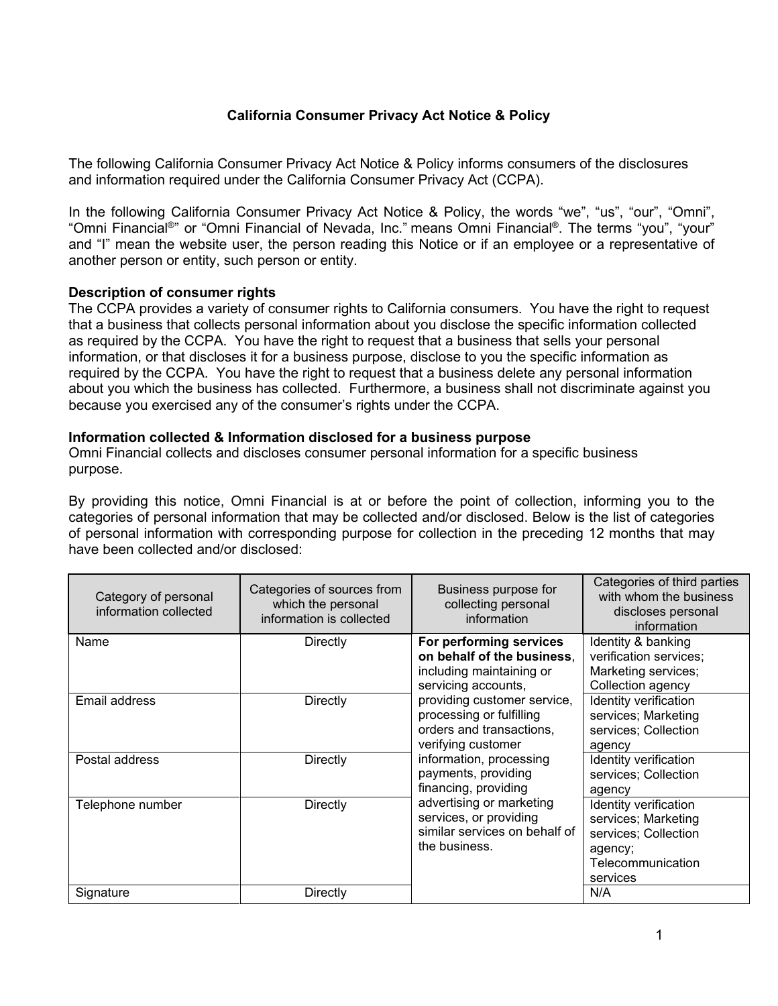# **California Consumer Privacy Act Notice & Policy**

The following California Consumer Privacy Act Notice & Policy informs consumers of the disclosures and information required under the California Consumer Privacy Act (CCPA).

In the following California Consumer Privacy Act Notice & Policy, the words "we", "us", "our", "Omni", "Omni Financial®" or "Omni Financial of Nevada, Inc." means Omni Financial®. The terms "you", "your" and "I" mean the website user, the person reading this Notice or if an employee or a representative of another person or entity, such person or entity.

### **Description of consumer rights**

The CCPA provides a variety of consumer rights to California consumers. You have the right to request that a business that collects personal information about you disclose the specific information collected as required by the CCPA. You have the right to request that a business that sells your personal information, or that discloses it for a business purpose, disclose to you the specific information as required by the CCPA. You have the right to request that a business delete any personal information about you which the business has collected. Furthermore, a business shall not discriminate against you because you exercised any of the consumer's rights under the CCPA.

### **Information collected & Information disclosed for a business purpose**

Omni Financial collects and discloses consumer personal information for a specific business purpose.

By providing this notice, Omni Financial is at or before the point of collection, informing you to the categories of personal information that may be collected and/or disclosed. Below is the list of categories of personal information with corresponding purpose for collection in the preceding 12 months that may have been collected and/or disclosed:

| Category of personal<br>information collected | Categories of sources from<br>which the personal<br>information is collected | Business purpose for<br>collecting personal<br>information                                                                                                                                                            | Categories of third parties<br>with whom the business<br>discloses personal<br>information                       |
|-----------------------------------------------|------------------------------------------------------------------------------|-----------------------------------------------------------------------------------------------------------------------------------------------------------------------------------------------------------------------|------------------------------------------------------------------------------------------------------------------|
| Name                                          | Directly                                                                     | For performing services<br>on behalf of the business,<br>including maintaining or<br>servicing accounts,<br>providing customer service,<br>processing or fulfilling<br>orders and transactions,<br>verifying customer | Identity & banking<br>verification services;<br>Marketing services;<br>Collection agency                         |
| Email address                                 | Directly                                                                     |                                                                                                                                                                                                                       | Identity verification<br>services; Marketing<br>services; Collection<br>agency                                   |
| Postal address                                | <b>Directly</b>                                                              | information, processing<br>payments, providing<br>financing, providing                                                                                                                                                | Identity verification<br>services; Collection<br>agency                                                          |
| Telephone number                              | Directly                                                                     | advertising or marketing<br>services, or providing<br>similar services on behalf of<br>the business.                                                                                                                  | Identity verification<br>services; Marketing<br>services; Collection<br>agency;<br>Telecommunication<br>services |
| Signature                                     | Directly                                                                     |                                                                                                                                                                                                                       | N/A                                                                                                              |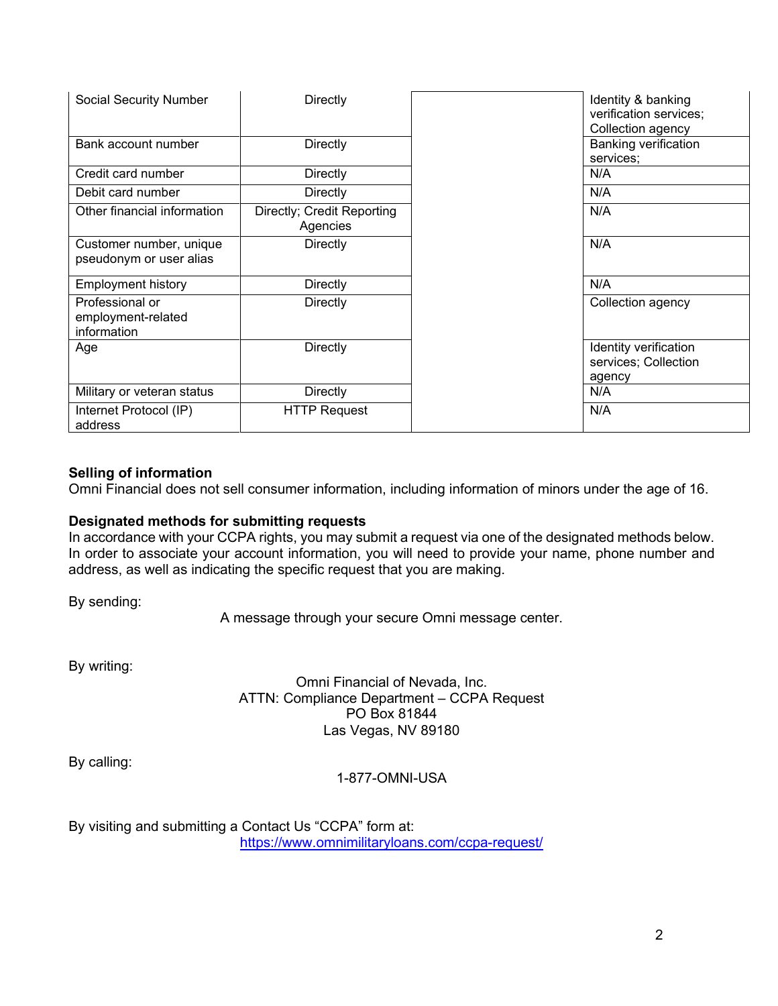| <b>Social Security Number</b>                        | Directly                               | Identity & banking<br>verification services;<br>Collection agency |
|------------------------------------------------------|----------------------------------------|-------------------------------------------------------------------|
| Bank account number                                  | Directly                               | Banking verification<br>services;                                 |
| Credit card number                                   | Directly                               | N/A                                                               |
| Debit card number                                    | Directly                               | N/A                                                               |
| Other financial information                          | Directly; Credit Reporting<br>Agencies | N/A                                                               |
| Customer number, unique<br>pseudonym or user alias   | Directly                               | N/A                                                               |
| <b>Employment history</b>                            | Directly                               | N/A                                                               |
| Professional or<br>employment-related<br>information | Directly                               | Collection agency                                                 |
| Age                                                  | Directly                               | Identity verification<br>services; Collection<br>agency           |
| Military or veteran status                           | Directly                               | N/A                                                               |
| Internet Protocol (IP)<br>address                    | <b>HTTP Request</b>                    | N/A                                                               |

# **Selling of information**

Omni Financial does not sell consumer information, including information of minors under the age of 16.

## **Designated methods for submitting requests**

In accordance with your CCPA rights, you may submit a request via one of the designated methods below. In order to associate your account information, you will need to provide your name, phone number and address, as well as indicating the specific request that you are making.

By sending:

A message through your secure Omni message center.

By writing:

Omni Financial of Nevada, Inc. ATTN: Compliance Department – CCPA Request PO Box 81844 Las Vegas, NV 89180

By calling:

1-877-OMNI-USA

By visiting and submitting a Contact Us "CCPA" form at: <https://www.omnimilitaryloans.com/ccpa-request/>